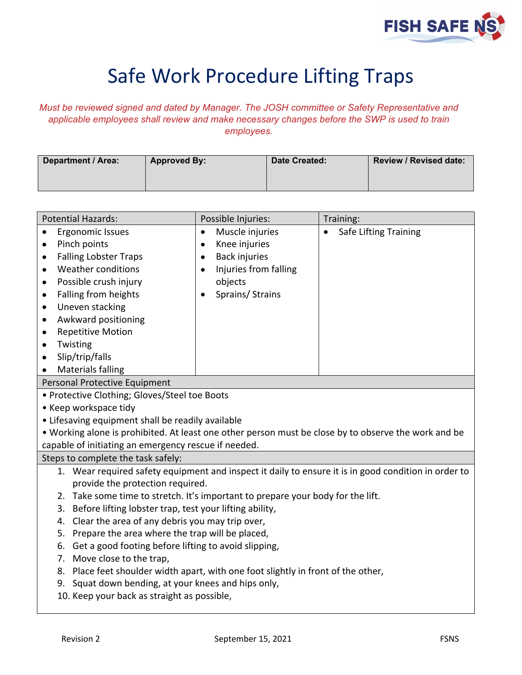

## Safe Work Procedure Lifting Traps

*Must be reviewed signed and dated by Manager. The JOSH committee or Safety Representative and applicable employees shall review and make necessary changes before the SWP is used to train employees.*

| Department / Area: | <b>Approved By:</b> | <b>Date Created:</b> | Review / Revised date: |
|--------------------|---------------------|----------------------|------------------------|
|                    |                     |                      |                        |

| <b>Potential Hazards:</b>                                                                            | Possible Injuries:                | Training:                    |  |  |
|------------------------------------------------------------------------------------------------------|-----------------------------------|------------------------------|--|--|
| Ergonomic Issues<br>$\bullet$                                                                        | Muscle injuries<br>$\bullet$      | <b>Safe Lifting Training</b> |  |  |
| Pinch points<br>$\bullet$                                                                            | Knee injuries<br>$\bullet$        |                              |  |  |
| <b>Falling Lobster Traps</b><br>$\bullet$                                                            | <b>Back injuries</b><br>$\bullet$ |                              |  |  |
| <b>Weather conditions</b><br>$\bullet$                                                               | Injuries from falling             |                              |  |  |
| Possible crush injury<br>$\bullet$                                                                   | objects                           |                              |  |  |
| Falling from heights<br>٠                                                                            | Sprains/ Strains                  |                              |  |  |
| Uneven stacking<br>$\bullet$                                                                         |                                   |                              |  |  |
| Awkward positioning<br>$\bullet$                                                                     |                                   |                              |  |  |
| <b>Repetitive Motion</b><br>$\bullet$                                                                |                                   |                              |  |  |
| Twisting<br>٠                                                                                        |                                   |                              |  |  |
| Slip/trip/falls<br>$\bullet$                                                                         |                                   |                              |  |  |
| <b>Materials falling</b><br>$\bullet$                                                                |                                   |                              |  |  |
| Personal Protective Equipment                                                                        |                                   |                              |  |  |
| • Protective Clothing; Gloves/Steel toe Boots                                                        |                                   |                              |  |  |
| • Keep workspace tidy                                                                                |                                   |                              |  |  |
| • Lifesaving equipment shall be readily available                                                    |                                   |                              |  |  |
| . Working alone is prohibited. At least one other person must be close by to observe the work and be |                                   |                              |  |  |
| capable of initiating an emergency rescue if needed.                                                 |                                   |                              |  |  |
| Steps to complete the task safely:                                                                   |                                   |                              |  |  |
| 1. Wear required safety equipment and inspect it daily to ensure it is in good condition in order to |                                   |                              |  |  |
| provide the protection required.                                                                     |                                   |                              |  |  |
| 2. Take some time to stretch. It's important to prepare your body for the lift.                      |                                   |                              |  |  |
| Before lifting lobster trap, test your lifting ability,<br>3.                                        |                                   |                              |  |  |
| Clear the area of any debris you may trip over,<br>4.                                                |                                   |                              |  |  |
| Prepare the area where the trap will be placed,<br>5.                                                |                                   |                              |  |  |
| Get a good footing before lifting to avoid slipping,<br>6.                                           |                                   |                              |  |  |
| Move close to the trap,<br>7.                                                                        |                                   |                              |  |  |
| Place feet shoulder width apart, with one foot slightly in front of the other,<br>8.                 |                                   |                              |  |  |
| 9. Squat down bending, at your knees and hips only,                                                  |                                   |                              |  |  |
| 10. Keep your back as straight as possible,                                                          |                                   |                              |  |  |